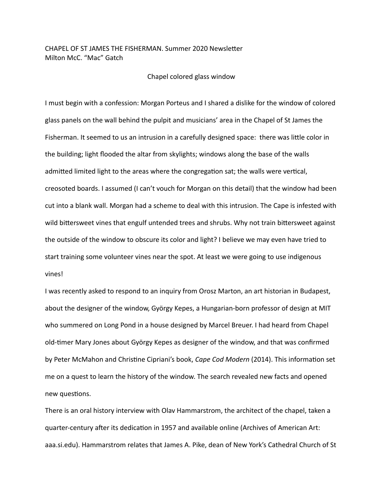## CHAPEL OF ST JAMES THE FISHERMAN. Summer 2020 Newsletter Milton McC. "Mac" Gatch

## Chapel colored glass window

I must begin with a confession: Morgan Porteus and I shared a dislike for the window of colored glass panels on the wall behind the pulpit and musicians' area in the Chapel of St James the Fisherman. It seemed to us an intrusion in a carefully designed space: there was little color in the building; light flooded the altar from skylights; windows along the base of the walls admitted limited light to the areas where the congregation sat; the walls were vertical, creosoted boards. I assumed (I can't vouch for Morgan on this detail) that the window had been cut into a blank wall. Morgan had a scheme to deal with this intrusion. The Cape is infested with wild bittersweet vines that engulf untended trees and shrubs. Why not train bittersweet against the outside of the window to obscure its color and light? I believe we may even have tried to start training some volunteer vines near the spot. At least we were going to use indigenous vines!

I was recently asked to respond to an inquiry from Orosz Marton, an art historian in Budapest, about the designer of the window, György Kepes, a Hungarian-born professor of design at MIT who summered on Long Pond in a house designed by Marcel Breuer. I had heard from Chapel old-timer Mary Jones about György Kepes as designer of the window, and that was confirmed by Peter McMahon and Christine Cipriani's book, *Cape Cod Modern* (2014). This information set me on a quest to learn the history of the window. The search revealed new facts and opened new questions.

There is an oral history interview with Olav Hammarstrom, the architect of the chapel, taken a quarter-century after its dedication in 1957 and available online (Archives of American Art: aaa.si.edu). Hammarstrom relates that James A. Pike, dean of New York's Cathedral Church of St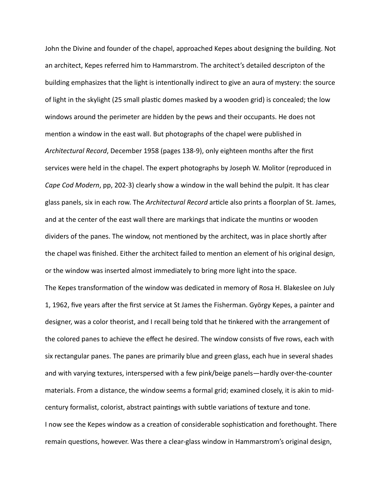John the Divine and founder of the chapel, approached Kepes about designing the building. Not an architect, Kepes referred him to Hammarstrom. The architect's detailed descripton of the building emphasizes that the light is intentionally indirect to give an aura of mystery: the source of light in the skylight (25 small plastic domes masked by a wooden grid) is concealed; the low windows around the perimeter are hidden by the pews and their occupants. He does not mention a window in the east wall. But photographs of the chapel were published in *Architectural Record*, December 1958 (pages 138-9), only eighteen months after the first services were held in the chapel. The expert photographs by Joseph W. Molitor (reproduced in *Cape Cod Modern*, pp, 202-3) clearly show a window in the wall behind the pulpit. It has clear glass panels, six in each row. The *Architectural Record* article also prints a floorplan of St. James, and at the center of the east wall there are markings that indicate the muntins or wooden dividers of the panes. The window, not mentioned by the architect, was in place shortly after the chapel was finished. Either the architect failed to mention an element of his original design, or the window was inserted almost immediately to bring more light into the space. The Kepes transformation of the window was dedicated in memory of Rosa H. Blakeslee on July 1, 1962, five years after the first service at St James the Fisherman. György Kepes, a painter and designer, was a color theorist, and I recall being told that he tinkered with the arrangement of the colored panes to achieve the effect he desired. The window consists of five rows, each with six rectangular panes. The panes are primarily blue and green glass, each hue in several shades and with varying textures, interspersed with a few pink/beige panels—hardly over-the-counter materials. From a distance, the window seems a formal grid; examined closely, it is akin to midcentury formalist, colorist, abstract paintings with subtle variations of texture and tone. I now see the Kepes window as a creation of considerable sophistication and forethought. There remain questions, however. Was there a clear-glass window in Hammarstrom's original design,